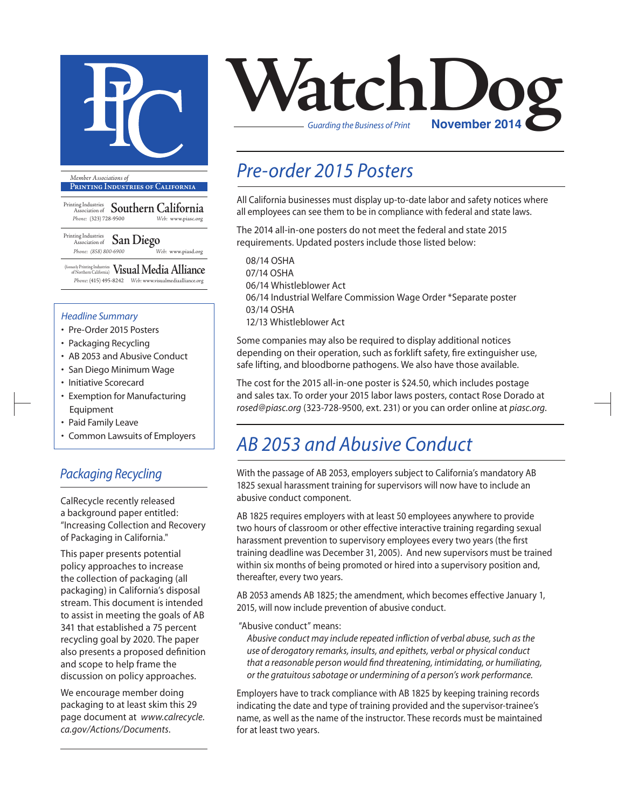

**Printing Industries of California**

Printing Industries Association of **Southern California** *Phone:* (323) 728-9500 *Web:* www.piasc.org

Printing Industries Association of **San Diego** *Phone: (858) 800-6900 Web:* www.piasd.org

(formerly Printing Industries of Northern California) **Visual Media Alliance** *Phone:* (415) 495-8242 *Web:* www.visualmediaalliance.org

#### *Headline Summary*

- Pre-Order 2015 Posters
- Packaging Recycling
- AB 2053 and Abusive Conduct
- San Diego Minimum Wage
- Initiative Scorecard
- Exemption for Manufacturing Equipment
- Paid Family Leave
- Common Lawsuits of Employers

### *Packaging Recycling*

CalRecycle recently released a background paper entitled: "Increasing Collection and Recovery of Packaging in California."

This paper presents potential policy approaches to increase the collection of packaging (all packaging) in California's disposal stream. This document is intended to assist in meeting the goals of AB 341 that established a 75 percent recycling goal by 2020. The paper also presents a proposed definition and scope to help frame the discussion on policy approaches.

We encourage member doing packaging to at least skim this 29 page document at *www.calrecycle. ca.gov/Actions/Documents*.



## *Pre-order 2015 Posters*

All California businesses must display up-to-date labor and safety notices where all employees can see them to be in compliance with federal and state laws.

The 2014 all-in-one posters do not meet the federal and state 2015 requirements. Updated posters include those listed below:

08/14 OSHA 07/14 OSHA 06/14 Whistleblower Act 06/14 Industrial Welfare Commission Wage Order \*Separate poster 03/14 OSHA 12/13 Whistleblower Act

Some companies may also be required to display additional notices depending on their operation, such as forklift safety, fire extinguisher use, safe lifting, and bloodborne pathogens. We also have those available.

The cost for the 2015 all-in-one poster is \$24.50, which includes postage and sales tax. To order your 2015 labor laws posters, contact Rose Dorado at *rosed@piasc.org* (323-728-9500, ext. 231) or you can order online at *piasc.org*.

### *AB 2053 and Abusive Conduct*

With the passage of AB 2053, employers subject to California's mandatory AB 1825 sexual harassment training for supervisors will now have to include an abusive conduct component.

AB 1825 requires employers with at least 50 employees anywhere to provide two hours of classroom or other effective interactive training regarding sexual harassment prevention to supervisory employees every two years (the first training deadline was December 31, 2005). And new supervisors must be trained within six months of being promoted or hired into a supervisory position and, thereafter, every two years.

AB 2053 amends AB 1825; the amendment, which becomes effective January 1, 2015, will now include prevention of abusive conduct.

"Abusive conduct" means:

*Abusive conduct may include repeated infliction of verbal abuse, such as the use of derogatory remarks, insults, and epithets, verbal or physical conduct that a reasonable person would find threatening, intimidating, or humiliating, or the gratuitous sabotage or undermining of a person's work performance.*

Employers have to track compliance with AB 1825 by keeping training records indicating the date and type of training provided and the supervisor-trainee's name, as well as the name of the instructor. These records must be maintained for at least two years.